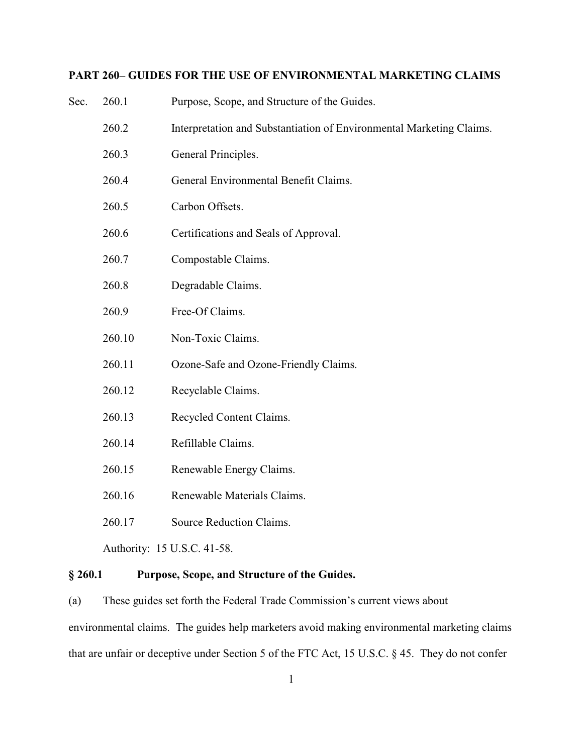# **PART 260– GUIDES FOR THE USE OF ENVIRONMENTAL MARKETING CLAIMS**

| § 260.1<br>Purpose, Scope, and Structure of the Guides. |        |                                                                      |
|---------------------------------------------------------|--------|----------------------------------------------------------------------|
|                                                         |        | Authority: 15 U.S.C. 41-58.                                          |
|                                                         | 260.17 | Source Reduction Claims.                                             |
|                                                         | 260.16 | Renewable Materials Claims.                                          |
|                                                         | 260.15 | Renewable Energy Claims.                                             |
|                                                         | 260.14 | Refillable Claims.                                                   |
|                                                         | 260.13 | Recycled Content Claims.                                             |
|                                                         | 260.12 | Recyclable Claims.                                                   |
|                                                         | 260.11 | Ozone-Safe and Ozone-Friendly Claims.                                |
|                                                         | 260.10 | Non-Toxic Claims.                                                    |
|                                                         | 260.9  | Free-Of Claims.                                                      |
|                                                         | 260.8  | Degradable Claims.                                                   |
|                                                         | 260.7  | Compostable Claims.                                                  |
|                                                         | 260.6  | Certifications and Seals of Approval.                                |
|                                                         | 260.5  | Carbon Offsets.                                                      |
|                                                         | 260.4  | General Environmental Benefit Claims.                                |
|                                                         | 260.3  | General Principles.                                                  |
|                                                         | 260.2  | Interpretation and Substantiation of Environmental Marketing Claims. |
| Sec.                                                    | 260.1  | Purpose, Scope, and Structure of the Guides.                         |

(a) These guides set forth the Federal Trade Commission's current views about environmental claims. The guides help marketers avoid making environmental marketing claims that are unfair or deceptive under Section 5 of the FTC Act, 15 U.S.C. § 45. They do not confer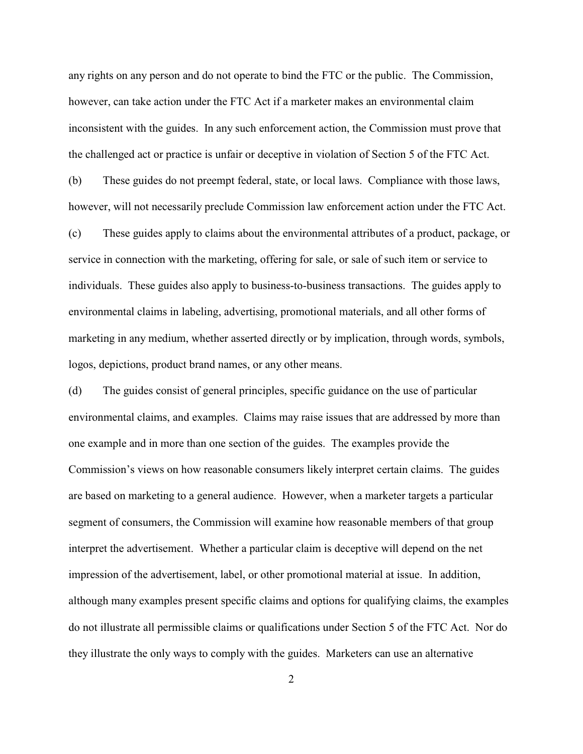any rights on any person and do not operate to bind the FTC or the public. The Commission, however, can take action under the FTC Act if a marketer makes an environmental claim inconsistent with the guides. In any such enforcement action, the Commission must prove that the challenged act or practice is unfair or deceptive in violation of Section 5 of the FTC Act.

(b) These guides do not preempt federal, state, or local laws. Compliance with those laws, however, will not necessarily preclude Commission law enforcement action under the FTC Act.

(c) These guides apply to claims about the environmental attributes of a product, package, or service in connection with the marketing, offering for sale, or sale of such item or service to individuals. These guides also apply to business-to-business transactions. The guides apply to environmental claims in labeling, advertising, promotional materials, and all other forms of marketing in any medium, whether asserted directly or by implication, through words, symbols, logos, depictions, product brand names, or any other means.

(d) The guides consist of general principles, specific guidance on the use of particular environmental claims, and examples. Claims may raise issues that are addressed by more than one example and in more than one section of the guides. The examples provide the Commission's views on how reasonable consumers likely interpret certain claims. The guides are based on marketing to a general audience. However, when a marketer targets a particular segment of consumers, the Commission will examine how reasonable members of that group interpret the advertisement. Whether a particular claim is deceptive will depend on the net impression of the advertisement, label, or other promotional material at issue. In addition, although many examples present specific claims and options for qualifying claims, the examples do not illustrate all permissible claims or qualifications under Section 5 of the FTC Act. Nor do they illustrate the only ways to comply with the guides. Marketers can use an alternative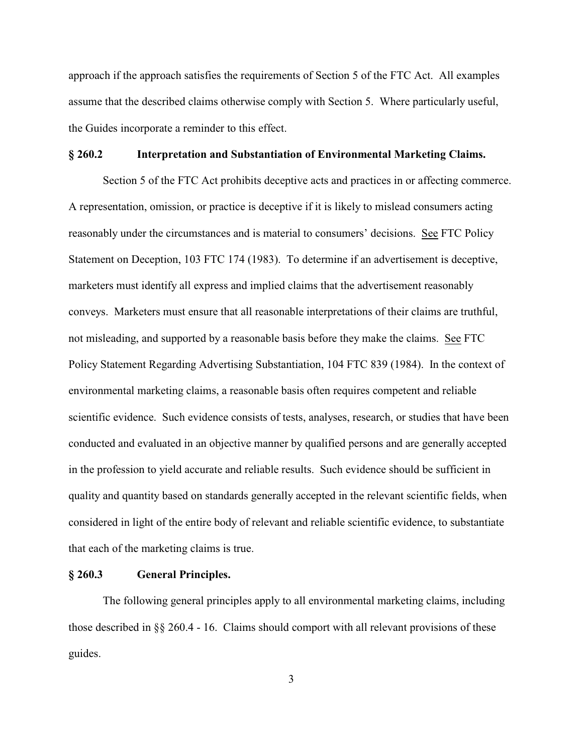approach if the approach satisfies the requirements of Section 5 of the FTC Act. All examples assume that the described claims otherwise comply with Section 5. Where particularly useful, the Guides incorporate a reminder to this effect.

### **§ 260.2 Interpretation and Substantiation of Environmental Marketing Claims.**

Section 5 of the FTC Act prohibits deceptive acts and practices in or affecting commerce. A representation, omission, or practice is deceptive if it is likely to mislead consumers acting reasonably under the circumstances and is material to consumers' decisions. See FTC Policy Statement on Deception, 103 FTC 174 (1983). To determine if an advertisement is deceptive, marketers must identify all express and implied claims that the advertisement reasonably conveys. Marketers must ensure that all reasonable interpretations of their claims are truthful, not misleading, and supported by a reasonable basis before they make the claims. See FTC Policy Statement Regarding Advertising Substantiation, 104 FTC 839 (1984). In the context of environmental marketing claims, a reasonable basis often requires competent and reliable scientific evidence. Such evidence consists of tests, analyses, research, or studies that have been conducted and evaluated in an objective manner by qualified persons and are generally accepted in the profession to yield accurate and reliable results. Such evidence should be sufficient in quality and quantity based on standards generally accepted in the relevant scientific fields, when considered in light of the entire body of relevant and reliable scientific evidence, to substantiate that each of the marketing claims is true.

#### **§ 260.3 General Principles.**

The following general principles apply to all environmental marketing claims, including those described in §§ 260.4 - 16. Claims should comport with all relevant provisions of these guides.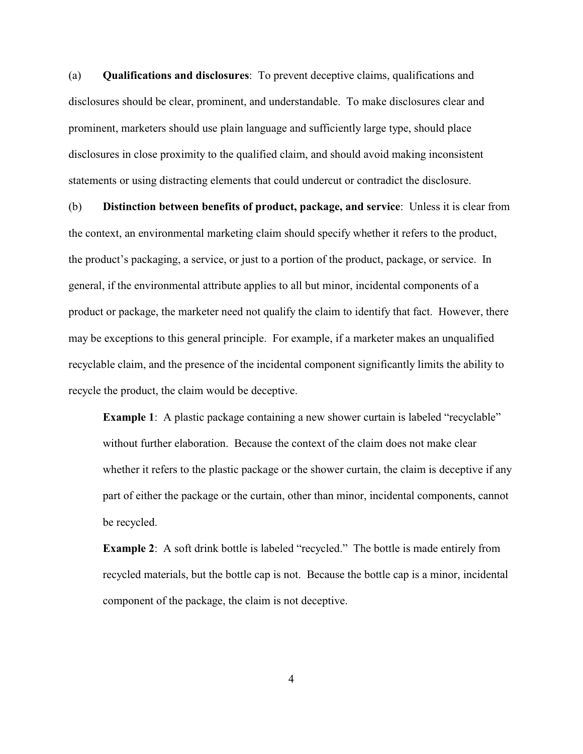(a) **Qualifications and disclosures**: To prevent deceptive claims, qualifications and disclosures should be clear, prominent, and understandable. To make disclosures clear and prominent, marketers should use plain language and sufficiently large type, should place disclosures in close proximity to the qualified claim, and should avoid making inconsistent statements or using distracting elements that could undercut or contradict the disclosure.

(b) **Distinction between benefits of product, package, and service**: Unless it is clear from the context, an environmental marketing claim should specify whether it refers to the product, the product's packaging, a service, or just to a portion of the product, package, or service. In general, if the environmental attribute applies to all but minor, incidental components of a product or package, the marketer need not qualify the claim to identify that fact. However, there may be exceptions to this general principle. For example, if a marketer makes an unqualified recyclable claim, and the presence of the incidental component significantly limits the ability to recycle the product, the claim would be deceptive.

**Example 1**: A plastic package containing a new shower curtain is labeled "recyclable" without further elaboration. Because the context of the claim does not make clear whether it refers to the plastic package or the shower curtain, the claim is deceptive if any part of either the package or the curtain, other than minor, incidental components, cannot be recycled.

**Example 2:** A soft drink bottle is labeled "recycled." The bottle is made entirely from recycled materials, but the bottle cap is not. Because the bottle cap is a minor, incidental component of the package, the claim is not deceptive.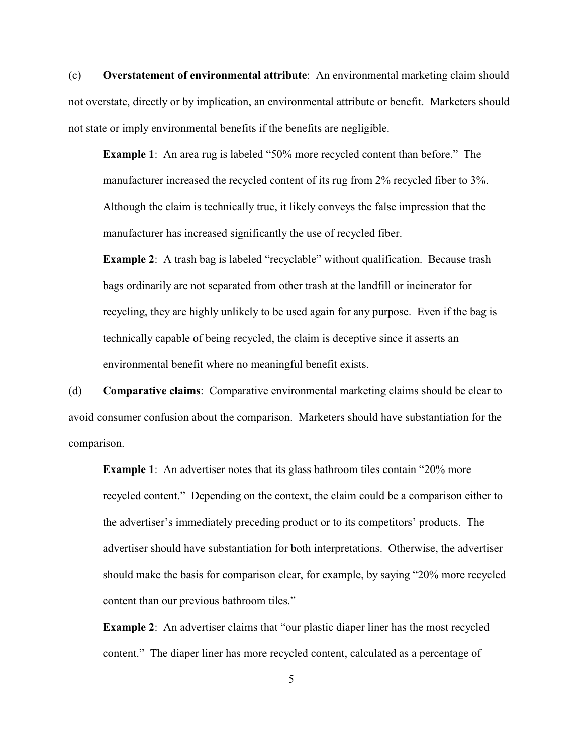(c) **Overstatement of environmental attribute**: An environmental marketing claim should not overstate, directly or by implication, an environmental attribute or benefit. Marketers should not state or imply environmental benefits if the benefits are negligible.

**Example 1:** An area rug is labeled "50% more recycled content than before." The manufacturer increased the recycled content of its rug from 2% recycled fiber to 3%. Although the claim is technically true, it likely conveys the false impression that the manufacturer has increased significantly the use of recycled fiber.

**Example 2:** A trash bag is labeled "recyclable" without qualification. Because trash bags ordinarily are not separated from other trash at the landfill or incinerator for recycling, they are highly unlikely to be used again for any purpose. Even if the bag is technically capable of being recycled, the claim is deceptive since it asserts an environmental benefit where no meaningful benefit exists.

(d) **Comparative claims**: Comparative environmental marketing claims should be clear to avoid consumer confusion about the comparison. Marketers should have substantiation for the comparison.

**Example 1**: An advertiser notes that its glass bathroom tiles contain "20% more" recycled content." Depending on the context, the claim could be a comparison either to the advertiser's immediately preceding product or to its competitors' products. The advertiser should have substantiation for both interpretations. Otherwise, the advertiser should make the basis for comparison clear, for example, by saying "20% more recycled content than our previous bathroom tiles."

**Example 2:** An advertiser claims that "our plastic diaper liner has the most recycled content." The diaper liner has more recycled content, calculated as a percentage of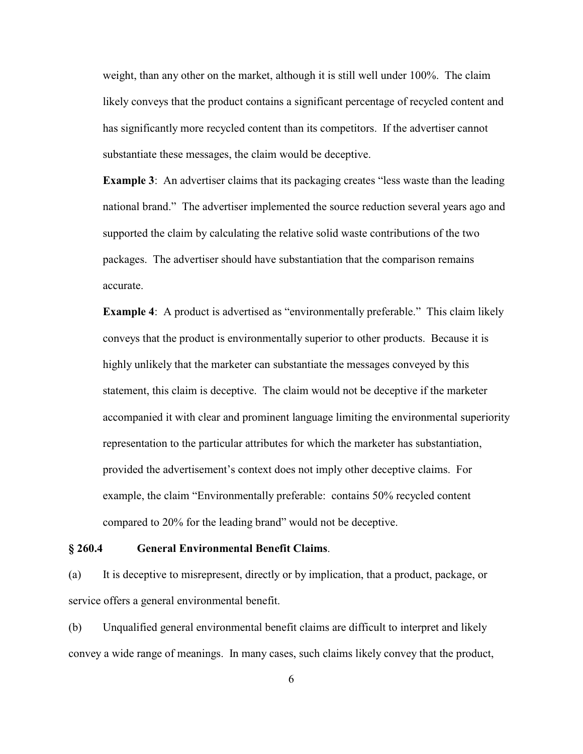weight, than any other on the market, although it is still well under 100%. The claim likely conveys that the product contains a significant percentage of recycled content and has significantly more recycled content than its competitors. If the advertiser cannot substantiate these messages, the claim would be deceptive.

**Example 3**: An advertiser claims that its packaging creates "less waste than the leading national brand." The advertiser implemented the source reduction several years ago and supported the claim by calculating the relative solid waste contributions of the two packages. The advertiser should have substantiation that the comparison remains accurate.

**Example 4:** A product is advertised as "environmentally preferable." This claim likely conveys that the product is environmentally superior to other products. Because it is highly unlikely that the marketer can substantiate the messages conveyed by this statement, this claim is deceptive. The claim would not be deceptive if the marketer accompanied it with clear and prominent language limiting the environmental superiority representation to the particular attributes for which the marketer has substantiation, provided the advertisement's context does not imply other deceptive claims. For example, the claim "Environmentally preferable: contains 50% recycled content compared to 20% for the leading brand" would not be deceptive.

#### **§ 260.4 General Environmental Benefit Claims**.

(a) It is deceptive to misrepresent, directly or by implication, that a product, package, or service offers a general environmental benefit.

(b) Unqualified general environmental benefit claims are difficult to interpret and likely convey a wide range of meanings. In many cases, such claims likely convey that the product,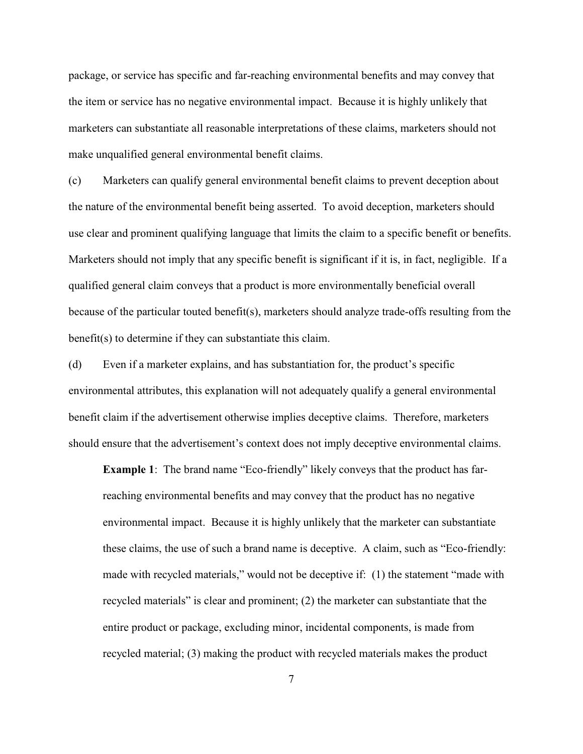package, or service has specific and far-reaching environmental benefits and may convey that the item or service has no negative environmental impact. Because it is highly unlikely that marketers can substantiate all reasonable interpretations of these claims, marketers should not make unqualified general environmental benefit claims.

(c) Marketers can qualify general environmental benefit claims to prevent deception about the nature of the environmental benefit being asserted. To avoid deception, marketers should use clear and prominent qualifying language that limits the claim to a specific benefit or benefits. Marketers should not imply that any specific benefit is significant if it is, in fact, negligible. If a qualified general claim conveys that a product is more environmentally beneficial overall because of the particular touted benefit(s), marketers should analyze trade-offs resulting from the benefit(s) to determine if they can substantiate this claim.

(d) Even if a marketer explains, and has substantiation for, the product's specific environmental attributes, this explanation will not adequately qualify a general environmental benefit claim if the advertisement otherwise implies deceptive claims. Therefore, marketers should ensure that the advertisement's context does not imply deceptive environmental claims.

**Example 1**: The brand name "Eco-friendly" likely conveys that the product has farreaching environmental benefits and may convey that the product has no negative environmental impact. Because it is highly unlikely that the marketer can substantiate these claims, the use of such a brand name is deceptive. A claim, such as "Eco-friendly: made with recycled materials," would not be deceptive if: (1) the statement "made with recycled materials" is clear and prominent; (2) the marketer can substantiate that the entire product or package, excluding minor, incidental components, is made from recycled material; (3) making the product with recycled materials makes the product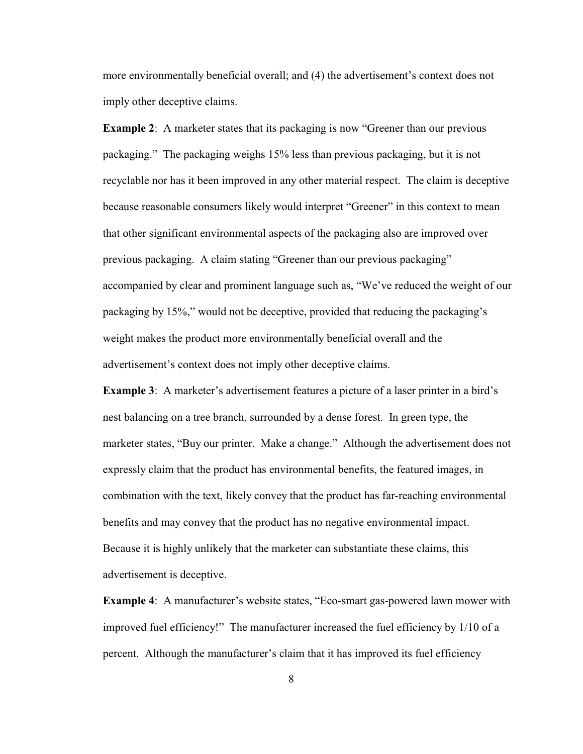more environmentally beneficial overall; and (4) the advertisement's context does not imply other deceptive claims.

**Example 2:** A marketer states that its packaging is now "Greener than our previous packaging." The packaging weighs 15% less than previous packaging, but it is not recyclable nor has it been improved in any other material respect. The claim is deceptive because reasonable consumers likely would interpret "Greener" in this context to mean that other significant environmental aspects of the packaging also are improved over previous packaging. A claim stating "Greener than our previous packaging" accompanied by clear and prominent language such as, "We've reduced the weight of our packaging by 15%," would not be deceptive, provided that reducing the packaging's weight makes the product more environmentally beneficial overall and the advertisement's context does not imply other deceptive claims.

**Example 3**: A marketer's advertisement features a picture of a laser printer in a bird's nest balancing on a tree branch, surrounded by a dense forest. In green type, the marketer states, "Buy our printer. Make a change." Although the advertisement does not expressly claim that the product has environmental benefits, the featured images, in combination with the text, likely convey that the product has far-reaching environmental benefits and may convey that the product has no negative environmental impact. Because it is highly unlikely that the marketer can substantiate these claims, this advertisement is deceptive.

**Example 4**: A manufacturer's website states, "Eco-smart gas-powered lawn mower with improved fuel efficiency!" The manufacturer increased the fuel efficiency by 1/10 of a percent. Although the manufacturer's claim that it has improved its fuel efficiency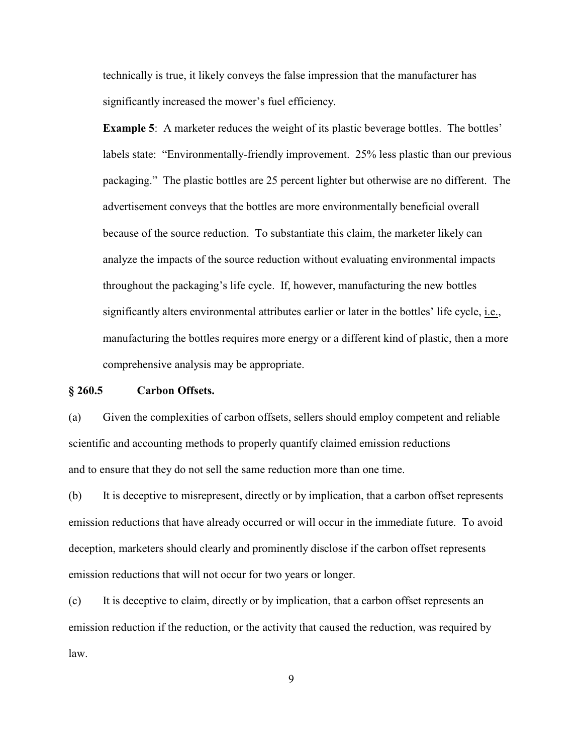technically is true, it likely conveys the false impression that the manufacturer has significantly increased the mower's fuel efficiency.

**Example 5:** A marketer reduces the weight of its plastic beverage bottles. The bottles' labels state: "Environmentally-friendly improvement. 25% less plastic than our previous packaging." The plastic bottles are 25 percent lighter but otherwise are no different. The advertisement conveys that the bottles are more environmentally beneficial overall because of the source reduction. To substantiate this claim, the marketer likely can analyze the impacts of the source reduction without evaluating environmental impacts throughout the packaging's life cycle. If, however, manufacturing the new bottles significantly alters environmental attributes earlier or later in the bottles' life cycle, i.e., manufacturing the bottles requires more energy or a different kind of plastic, then a more comprehensive analysis may be appropriate.

# **§ 260.5 Carbon Offsets.**

(a) Given the complexities of carbon offsets, sellers should employ competent and reliable scientific and accounting methods to properly quantify claimed emission reductions and to ensure that they do not sell the same reduction more than one time.

(b) It is deceptive to misrepresent, directly or by implication, that a carbon offset represents emission reductions that have already occurred or will occur in the immediate future. To avoid deception, marketers should clearly and prominently disclose if the carbon offset represents emission reductions that will not occur for two years or longer.

(c) It is deceptive to claim, directly or by implication, that a carbon offset represents an emission reduction if the reduction, or the activity that caused the reduction, was required by law.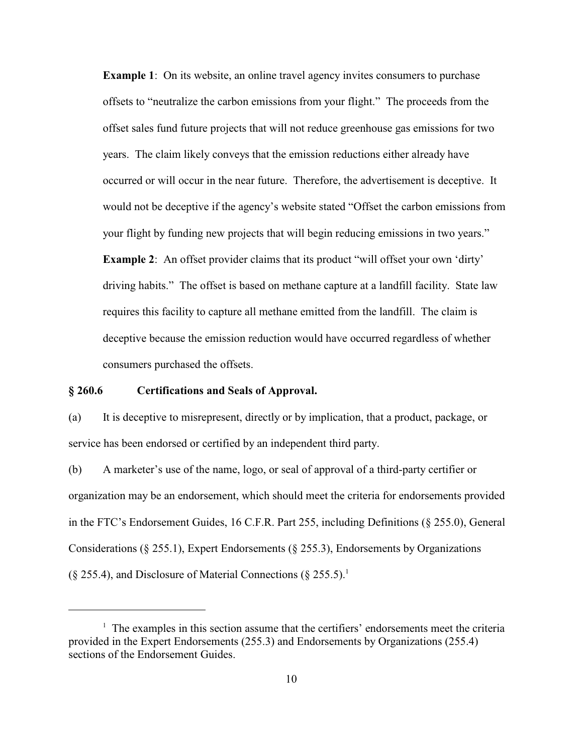**Example 1**: On its website, an online travel agency invites consumers to purchase offsets to "neutralize the carbon emissions from your flight." The proceeds from the offset sales fund future projects that will not reduce greenhouse gas emissions for two years. The claim likely conveys that the emission reductions either already have occurred or will occur in the near future. Therefore, the advertisement is deceptive. It would not be deceptive if the agency's website stated "Offset the carbon emissions from your flight by funding new projects that will begin reducing emissions in two years."

**Example 2:** An offset provider claims that its product "will offset your own 'dirty' driving habits." The offset is based on methane capture at a landfill facility. State law requires this facility to capture all methane emitted from the landfill. The claim is deceptive because the emission reduction would have occurred regardless of whether consumers purchased the offsets.

#### **§ 260.6 Certifications and Seals of Approval.**

(a) It is deceptive to misrepresent, directly or by implication, that a product, package, or service has been endorsed or certified by an independent third party.

(b) A marketer's use of the name, logo, or seal of approval of a third-party certifier or organization may be an endorsement, which should meet the criteria for endorsements provided in the FTC's Endorsement Guides, 16 C.F.R. Part 255, including Definitions (§ 255.0), General Considerations (§ 255.1), Expert Endorsements (§ 255.3), Endorsements by Organizations  $(\S 255.4)$ , and Disclosure of Material Connections  $(\S 255.5)^{1}$ .

 $1$  The examples in this section assume that the certifiers' endorsements meet the criteria provided in the Expert Endorsements (255.3) and Endorsements by Organizations (255.4) sections of the Endorsement Guides.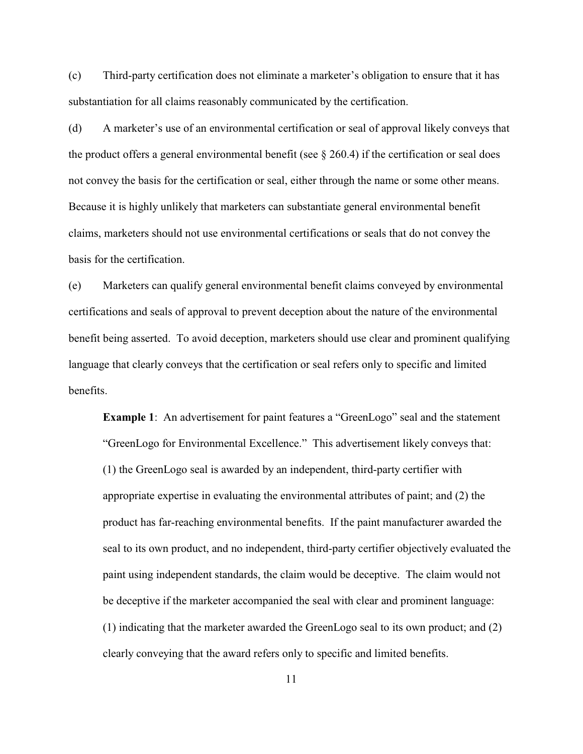(c) Third-party certification does not eliminate a marketer's obligation to ensure that it has substantiation for all claims reasonably communicated by the certification.

(d) A marketer's use of an environmental certification or seal of approval likely conveys that the product offers a general environmental benefit (see  $\S$  260.4) if the certification or seal does not convey the basis for the certification or seal, either through the name or some other means. Because it is highly unlikely that marketers can substantiate general environmental benefit claims, marketers should not use environmental certifications or seals that do not convey the basis for the certification.

(e) Marketers can qualify general environmental benefit claims conveyed by environmental certifications and seals of approval to prevent deception about the nature of the environmental benefit being asserted. To avoid deception, marketers should use clear and prominent qualifying language that clearly conveys that the certification or seal refers only to specific and limited benefits.

**Example 1:** An advertisement for paint features a "GreenLogo" seal and the statement "GreenLogo for Environmental Excellence." This advertisement likely conveys that: (1) the GreenLogo seal is awarded by an independent, third-party certifier with appropriate expertise in evaluating the environmental attributes of paint; and (2) the product has far-reaching environmental benefits. If the paint manufacturer awarded the seal to its own product, and no independent, third-party certifier objectively evaluated the paint using independent standards, the claim would be deceptive. The claim would not be deceptive if the marketer accompanied the seal with clear and prominent language: (1) indicating that the marketer awarded the GreenLogo seal to its own product; and (2) clearly conveying that the award refers only to specific and limited benefits.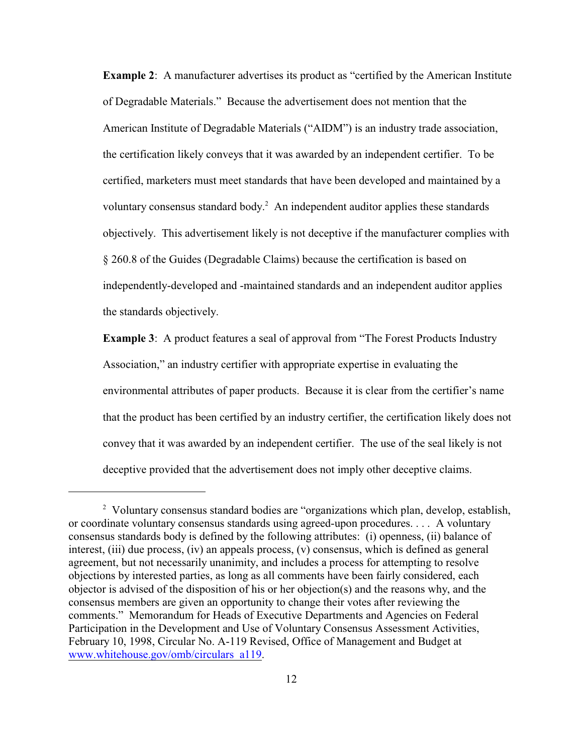**Example 2:** A manufacturer advertises its product as "certified by the American Institute of Degradable Materials." Because the advertisement does not mention that the American Institute of Degradable Materials ("AIDM") is an industry trade association, the certification likely conveys that it was awarded by an independent certifier. To be certified, marketers must meet standards that have been developed and maintained by a voluntary consensus standard body.<sup>2</sup> An independent auditor applies these standards objectively. This advertisement likely is not deceptive if the manufacturer complies with § 260.8 of the Guides (Degradable Claims) because the certification is based on independently-developed and -maintained standards and an independent auditor applies the standards objectively.

**Example 3**: A product features a seal of approval from "The Forest Products Industry Association," an industry certifier with appropriate expertise in evaluating the environmental attributes of paper products. Because it is clear from the certifier's name that the product has been certified by an industry certifier, the certification likely does not convey that it was awarded by an independent certifier. The use of the seal likely is not deceptive provided that the advertisement does not imply other deceptive claims.

<sup>&</sup>lt;sup>2</sup> Voluntary consensus standard bodies are "organizations which plan, develop, establish, or coordinate voluntary consensus standards using agreed-upon procedures. . . . A voluntary consensus standards body is defined by the following attributes: (i) openness, (ii) balance of interest, (iii) due process, (iv) an appeals process, (v) consensus, which is defined as general agreement, but not necessarily unanimity, and includes a process for attempting to resolve objections by interested parties, as long as all comments have been fairly considered, each objector is advised of the disposition of his or her objection(s) and the reasons why, and the consensus members are given an opportunity to change their votes after reviewing the comments." Memorandum for Heads of Executive Departments and Agencies on Federal Participation in the Development and Use of Voluntary Consensus Assessment Activities, February 10, 1998, Circular No. A-119 Revised, Office of Management and Budget at [www.whitehouse.gov/omb/circulars\\_a119](http://www.whitehouse.gov/omb/circulars_a119).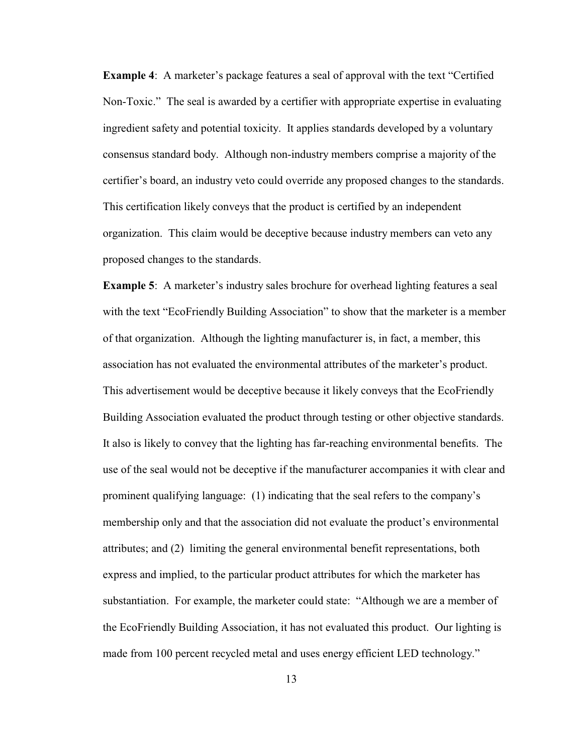**Example 4**: A marketer's package features a seal of approval with the text "Certified Non-Toxic." The seal is awarded by a certifier with appropriate expertise in evaluating ingredient safety and potential toxicity. It applies standards developed by a voluntary consensus standard body. Although non-industry members comprise a majority of the certifier's board, an industry veto could override any proposed changes to the standards. This certification likely conveys that the product is certified by an independent organization. This claim would be deceptive because industry members can veto any proposed changes to the standards.

**Example 5:** A marketer's industry sales brochure for overhead lighting features a seal with the text "EcoFriendly Building Association" to show that the marketer is a member of that organization. Although the lighting manufacturer is, in fact, a member, this association has not evaluated the environmental attributes of the marketer's product. This advertisement would be deceptive because it likely conveys that the EcoFriendly Building Association evaluated the product through testing or other objective standards. It also is likely to convey that the lighting has far-reaching environmental benefits. The use of the seal would not be deceptive if the manufacturer accompanies it with clear and prominent qualifying language: (1) indicating that the seal refers to the company's membership only and that the association did not evaluate the product's environmental attributes; and (2) limiting the general environmental benefit representations, both express and implied, to the particular product attributes for which the marketer has substantiation. For example, the marketer could state: "Although we are a member of the EcoFriendly Building Association, it has not evaluated this product. Our lighting is made from 100 percent recycled metal and uses energy efficient LED technology."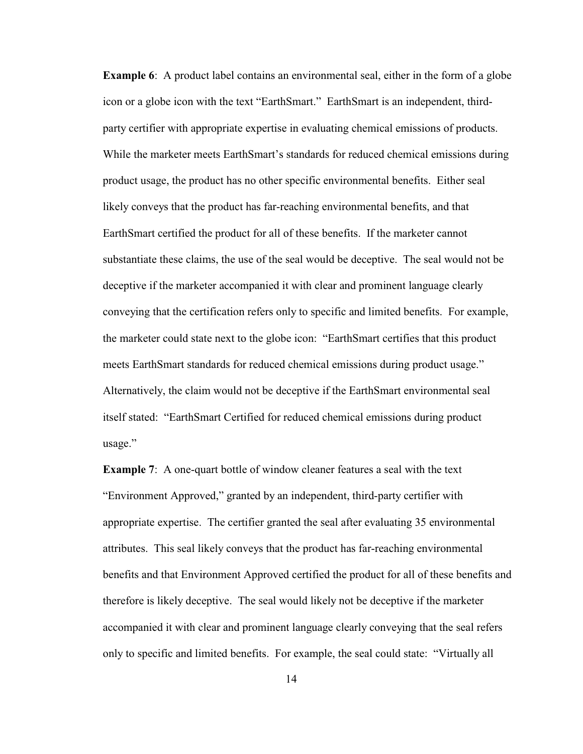**Example 6**: A product label contains an environmental seal, either in the form of a globe icon or a globe icon with the text "EarthSmart." EarthSmart is an independent, thirdparty certifier with appropriate expertise in evaluating chemical emissions of products. While the marketer meets EarthSmart's standards for reduced chemical emissions during product usage, the product has no other specific environmental benefits. Either seal likely conveys that the product has far-reaching environmental benefits, and that EarthSmart certified the product for all of these benefits. If the marketer cannot substantiate these claims, the use of the seal would be deceptive. The seal would not be deceptive if the marketer accompanied it with clear and prominent language clearly conveying that the certification refers only to specific and limited benefits. For example, the marketer could state next to the globe icon: "EarthSmart certifies that this product meets EarthSmart standards for reduced chemical emissions during product usage." Alternatively, the claim would not be deceptive if the EarthSmart environmental seal itself stated: "EarthSmart Certified for reduced chemical emissions during product usage."

**Example 7:** A one-quart bottle of window cleaner features a seal with the text "Environment Approved," granted by an independent, third-party certifier with appropriate expertise. The certifier granted the seal after evaluating 35 environmental attributes. This seal likely conveys that the product has far-reaching environmental benefits and that Environment Approved certified the product for all of these benefits and therefore is likely deceptive. The seal would likely not be deceptive if the marketer accompanied it with clear and prominent language clearly conveying that the seal refers only to specific and limited benefits. For example, the seal could state: "Virtually all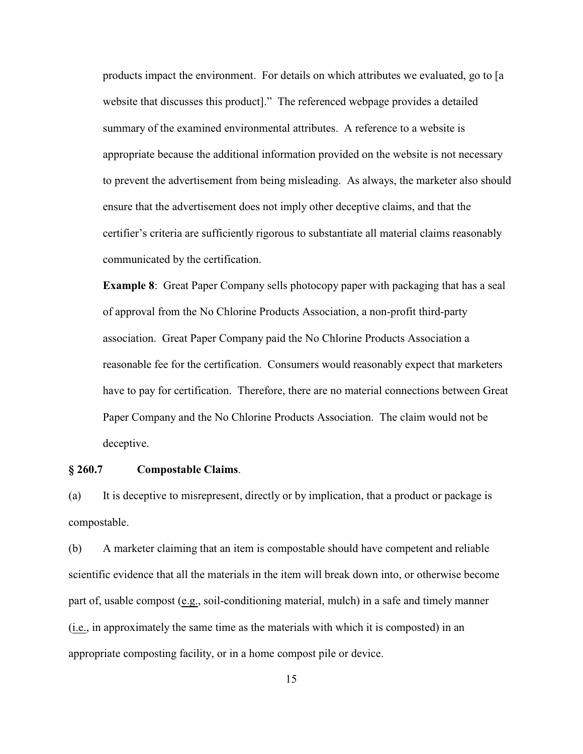products impact the environment. For details on which attributes we evaluated, go to [a website that discusses this product]." The referenced webpage provides a detailed summary of the examined environmental attributes. A reference to a website is appropriate because the additional information provided on the website is not necessary to prevent the advertisement from being misleading. As always, the marketer also should ensure that the advertisement does not imply other deceptive claims, and that the certifier's criteria are sufficiently rigorous to substantiate all material claims reasonably communicated by the certification.

**Example 8:** Great Paper Company sells photocopy paper with packaging that has a seal of approval from the No Chlorine Products Association, a non-profit third-party association. Great Paper Company paid the No Chlorine Products Association a reasonable fee for the certification. Consumers would reasonably expect that marketers have to pay for certification. Therefore, there are no material connections between Great Paper Company and the No Chlorine Products Association. The claim would not be deceptive.

#### **§ 260.7 Compostable Claims**.

(a) It is deceptive to misrepresent, directly or by implication, that a product or package is compostable.

(b) A marketer claiming that an item is compostable should have competent and reliable scientific evidence that all the materials in the item will break down into, or otherwise become part of, usable compost (e.g., soil-conditioning material, mulch) in a safe and timely manner (i.e., in approximately the same time as the materials with which it is composted) in an appropriate composting facility, or in a home compost pile or device.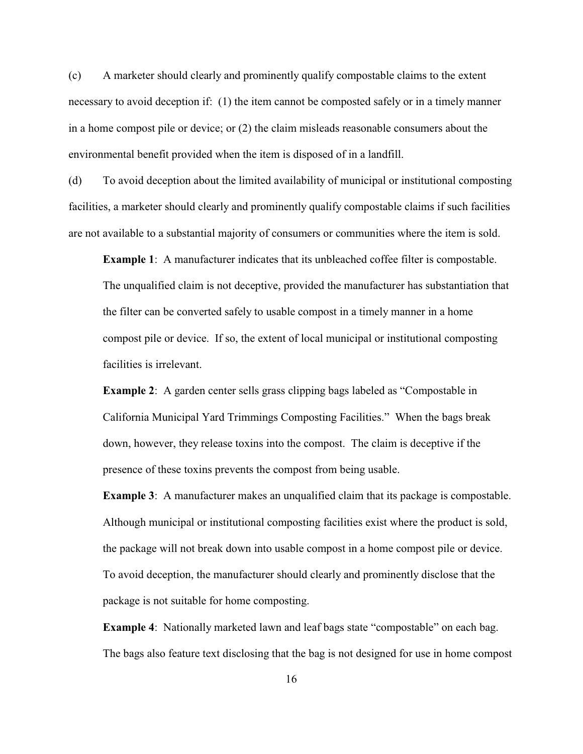(c) A marketer should clearly and prominently qualify compostable claims to the extent necessary to avoid deception if: (1) the item cannot be composted safely or in a timely manner in a home compost pile or device; or (2) the claim misleads reasonable consumers about the environmental benefit provided when the item is disposed of in a landfill.

(d) To avoid deception about the limited availability of municipal or institutional composting facilities, a marketer should clearly and prominently qualify compostable claims if such facilities are not available to a substantial majority of consumers or communities where the item is sold.

**Example 1**: A manufacturer indicates that its unbleached coffee filter is compostable. The unqualified claim is not deceptive, provided the manufacturer has substantiation that the filter can be converted safely to usable compost in a timely manner in a home compost pile or device. If so, the extent of local municipal or institutional composting facilities is irrelevant.

**Example 2**: A garden center sells grass clipping bags labeled as "Compostable in California Municipal Yard Trimmings Composting Facilities." When the bags break down, however, they release toxins into the compost. The claim is deceptive if the presence of these toxins prevents the compost from being usable.

**Example 3**: A manufacturer makes an unqualified claim that its package is compostable. Although municipal or institutional composting facilities exist where the product is sold, the package will not break down into usable compost in a home compost pile or device. To avoid deception, the manufacturer should clearly and prominently disclose that the package is not suitable for home composting.

**Example 4**: Nationally marketed lawn and leaf bags state "compostable" on each bag. The bags also feature text disclosing that the bag is not designed for use in home compost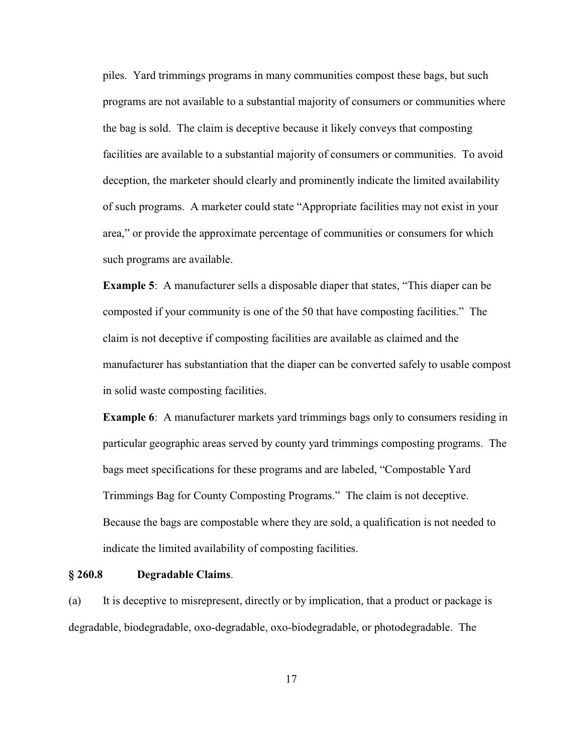piles. Yard trimmings programs in many communities compost these bags, but such programs are not available to a substantial majority of consumers or communities where the bag is sold. The claim is deceptive because it likely conveys that composting facilities are available to a substantial majority of consumers or communities. To avoid deception, the marketer should clearly and prominently indicate the limited availability of such programs. A marketer could state "Appropriate facilities may not exist in your area," or provide the approximate percentage of communities or consumers for which such programs are available.

**Example 5**: A manufacturer sells a disposable diaper that states, "This diaper can be composted if your community is one of the 50 that have composting facilities." The claim is not deceptive if composting facilities are available as claimed and the manufacturer has substantiation that the diaper can be converted safely to usable compost in solid waste composting facilities.

**Example 6**: A manufacturer markets yard trimmings bags only to consumers residing in particular geographic areas served by county yard trimmings composting programs. The bags meet specifications for these programs and are labeled, "Compostable Yard Trimmings Bag for County Composting Programs." The claim is not deceptive. Because the bags are compostable where they are sold, a qualification is not needed to indicate the limited availability of composting facilities.

#### **§ 260.8 Degradable Claims**.

(a) It is deceptive to misrepresent, directly or by implication, that a product or package is degradable, biodegradable, oxo-degradable, oxo-biodegradable, or photodegradable. The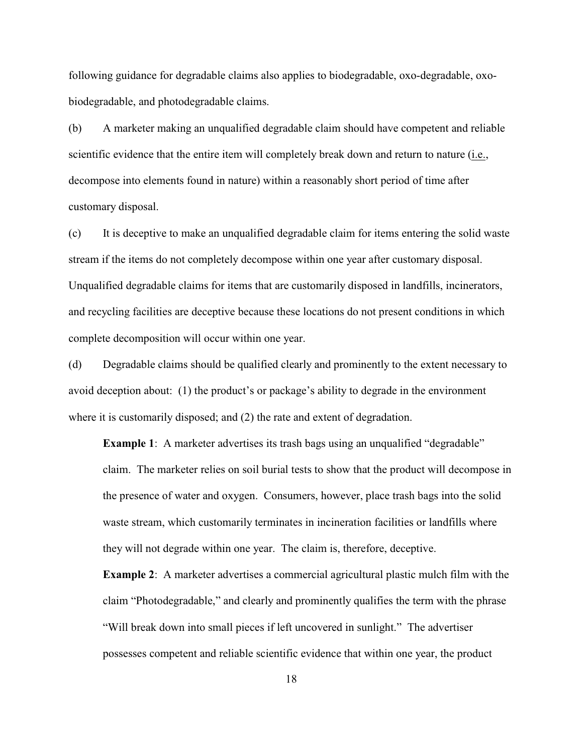following guidance for degradable claims also applies to biodegradable, oxo-degradable, oxobiodegradable, and photodegradable claims.

(b) A marketer making an unqualified degradable claim should have competent and reliable scientific evidence that the entire item will completely break down and return to nature (i.e., decompose into elements found in nature) within a reasonably short period of time after customary disposal.

(c) It is deceptive to make an unqualified degradable claim for items entering the solid waste stream if the items do not completely decompose within one year after customary disposal. Unqualified degradable claims for items that are customarily disposed in landfills, incinerators, and recycling facilities are deceptive because these locations do not present conditions in which complete decomposition will occur within one year.

(d) Degradable claims should be qualified clearly and prominently to the extent necessary to avoid deception about: (1) the product's or package's ability to degrade in the environment where it is customarily disposed; and (2) the rate and extent of degradation.

**Example 1**: A marketer advertises its trash bags using an unqualified "degradable" claim. The marketer relies on soil burial tests to show that the product will decompose in the presence of water and oxygen. Consumers, however, place trash bags into the solid waste stream, which customarily terminates in incineration facilities or landfills where they will not degrade within one year. The claim is, therefore, deceptive.

**Example 2**: A marketer advertises a commercial agricultural plastic mulch film with the claim "Photodegradable," and clearly and prominently qualifies the term with the phrase "Will break down into small pieces if left uncovered in sunlight." The advertiser possesses competent and reliable scientific evidence that within one year, the product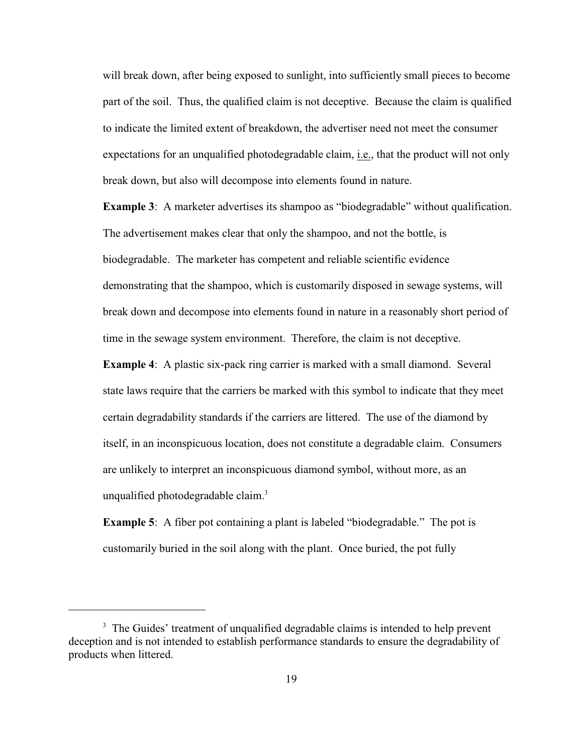will break down, after being exposed to sunlight, into sufficiently small pieces to become part of the soil. Thus, the qualified claim is not deceptive. Because the claim is qualified to indicate the limited extent of breakdown, the advertiser need not meet the consumer expectations for an unqualified photodegradable claim, i.e., that the product will not only break down, but also will decompose into elements found in nature.

**Example 3**: A marketer advertises its shampoo as "biodegradable" without qualification. The advertisement makes clear that only the shampoo, and not the bottle, is biodegradable. The marketer has competent and reliable scientific evidence demonstrating that the shampoo, which is customarily disposed in sewage systems, will break down and decompose into elements found in nature in a reasonably short period of time in the sewage system environment. Therefore, the claim is not deceptive.

**Example 4**: A plastic six-pack ring carrier is marked with a small diamond. Several state laws require that the carriers be marked with this symbol to indicate that they meet certain degradability standards if the carriers are littered. The use of the diamond by itself, in an inconspicuous location, does not constitute a degradable claim. Consumers are unlikely to interpret an inconspicuous diamond symbol, without more, as an unqualified photodegradable claim.<sup>3</sup>

**Example 5**: A fiber pot containing a plant is labeled "biodegradable." The pot is customarily buried in the soil along with the plant. Once buried, the pot fully

<sup>&</sup>lt;sup>3</sup> The Guides' treatment of unqualified degradable claims is intended to help prevent deception and is not intended to establish performance standards to ensure the degradability of products when littered.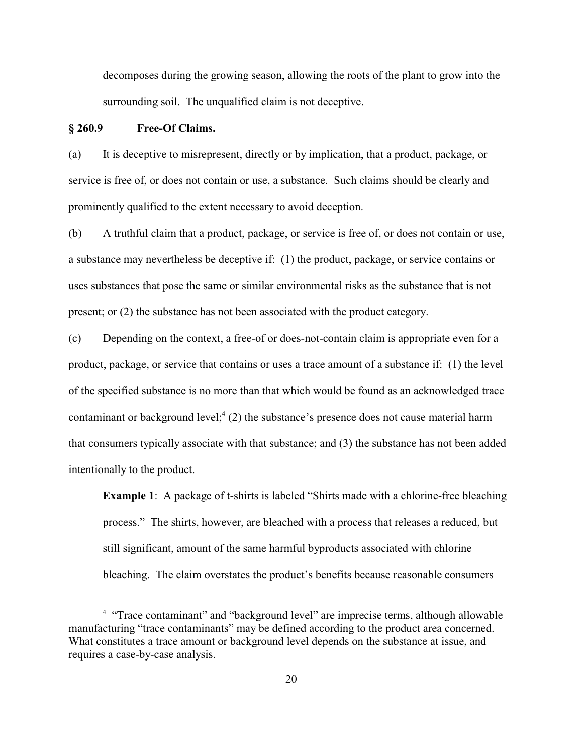decomposes during the growing season, allowing the roots of the plant to grow into the surrounding soil. The unqualified claim is not deceptive.

### **§ 260.9 Free-Of Claims.**

(a) It is deceptive to misrepresent, directly or by implication, that a product, package, or service is free of, or does not contain or use, a substance. Such claims should be clearly and prominently qualified to the extent necessary to avoid deception.

(b) A truthful claim that a product, package, or service is free of, or does not contain or use, a substance may nevertheless be deceptive if: (1) the product, package, or service contains or uses substances that pose the same or similar environmental risks as the substance that is not present; or (2) the substance has not been associated with the product category.

(c) Depending on the context, a free-of or does-not-contain claim is appropriate even for a product, package, or service that contains or uses a trace amount of a substance if: (1) the level of the specified substance is no more than that which would be found as an acknowledged trace contaminant or background level; $^{4}$  (2) the substance's presence does not cause material harm that consumers typically associate with that substance; and (3) the substance has not been added intentionally to the product.

**Example 1**: A package of t-shirts is labeled "Shirts made with a chlorine-free bleaching process." The shirts, however, are bleached with a process that releases a reduced, but still significant, amount of the same harmful byproducts associated with chlorine bleaching. The claim overstates the product's benefits because reasonable consumers

<sup>&</sup>lt;sup>4</sup> "Trace contaminant" and "background level" are imprecise terms, although allowable manufacturing "trace contaminants" may be defined according to the product area concerned. What constitutes a trace amount or background level depends on the substance at issue, and requires a case-by-case analysis.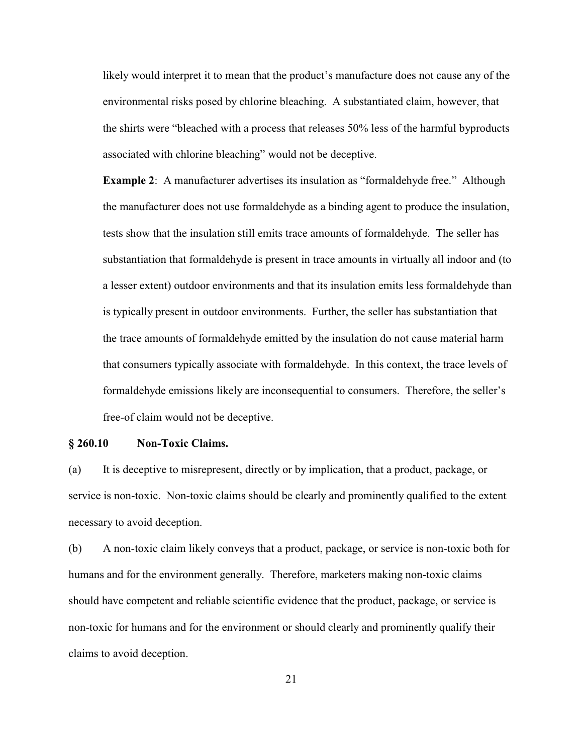likely would interpret it to mean that the product's manufacture does not cause any of the environmental risks posed by chlorine bleaching. A substantiated claim, however, that the shirts were "bleached with a process that releases 50% less of the harmful byproducts associated with chlorine bleaching" would not be deceptive.

**Example 2**: A manufacturer advertises its insulation as "formaldehyde free." Although the manufacturer does not use formaldehyde as a binding agent to produce the insulation, tests show that the insulation still emits trace amounts of formaldehyde. The seller has substantiation that formaldehyde is present in trace amounts in virtually all indoor and (to a lesser extent) outdoor environments and that its insulation emits less formaldehyde than is typically present in outdoor environments. Further, the seller has substantiation that the trace amounts of formaldehyde emitted by the insulation do not cause material harm that consumers typically associate with formaldehyde. In this context, the trace levels of formaldehyde emissions likely are inconsequential to consumers. Therefore, the seller's free-of claim would not be deceptive.

### **§ 260.10 Non-Toxic Claims.**

(a) It is deceptive to misrepresent, directly or by implication, that a product, package, or service is non-toxic. Non-toxic claims should be clearly and prominently qualified to the extent necessary to avoid deception.

(b) A non-toxic claim likely conveys that a product, package, or service is non-toxic both for humans and for the environment generally. Therefore, marketers making non-toxic claims should have competent and reliable scientific evidence that the product, package, or service is non-toxic for humans and for the environment or should clearly and prominently qualify their claims to avoid deception.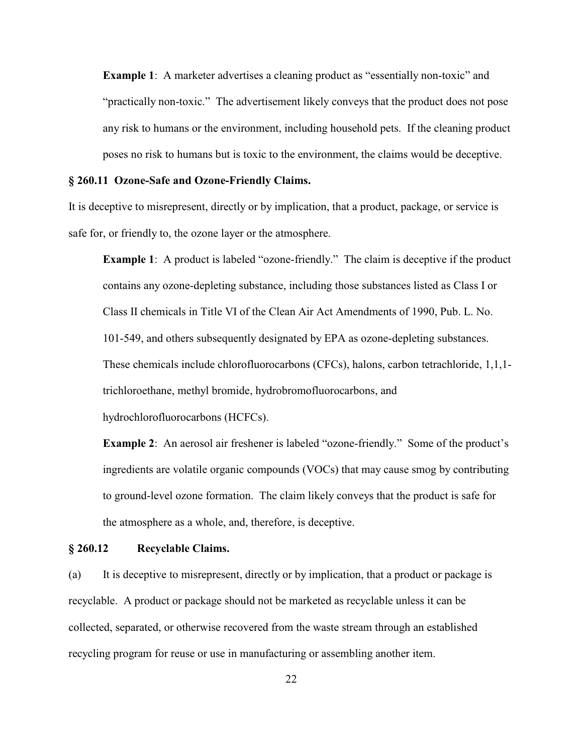**Example 1:** A marketer advertises a cleaning product as "essentially non-toxic" and "practically non-toxic." The advertisement likely conveys that the product does not pose any risk to humans or the environment, including household pets. If the cleaning product poses no risk to humans but is toxic to the environment, the claims would be deceptive.

#### **§ 260.11 Ozone-Safe and Ozone-Friendly Claims.**

It is deceptive to misrepresent, directly or by implication, that a product, package, or service is safe for, or friendly to, the ozone layer or the atmosphere.

**Example 1:** A product is labeled "ozone-friendly." The claim is deceptive if the product contains any ozone-depleting substance, including those substances listed as Class I or Class II chemicals in Title VI of the Clean Air Act Amendments of 1990, Pub. L. No. 101-549, and others subsequently designated by EPA as ozone-depleting substances. These chemicals include chlorofluorocarbons (CFCs), halons, carbon tetrachloride, 1,1,1 trichloroethane, methyl bromide, hydrobromofluorocarbons, and hydrochlorofluorocarbons (HCFCs).

**Example 2:** An aerosol air freshener is labeled "ozone-friendly." Some of the product's ingredients are volatile organic compounds (VOCs) that may cause smog by contributing to ground-level ozone formation. The claim likely conveys that the product is safe for the atmosphere as a whole, and, therefore, is deceptive.

#### **§ 260.12 Recyclable Claims.**

(a) It is deceptive to misrepresent, directly or by implication, that a product or package is recyclable. A product or package should not be marketed as recyclable unless it can be collected, separated, or otherwise recovered from the waste stream through an established recycling program for reuse or use in manufacturing or assembling another item.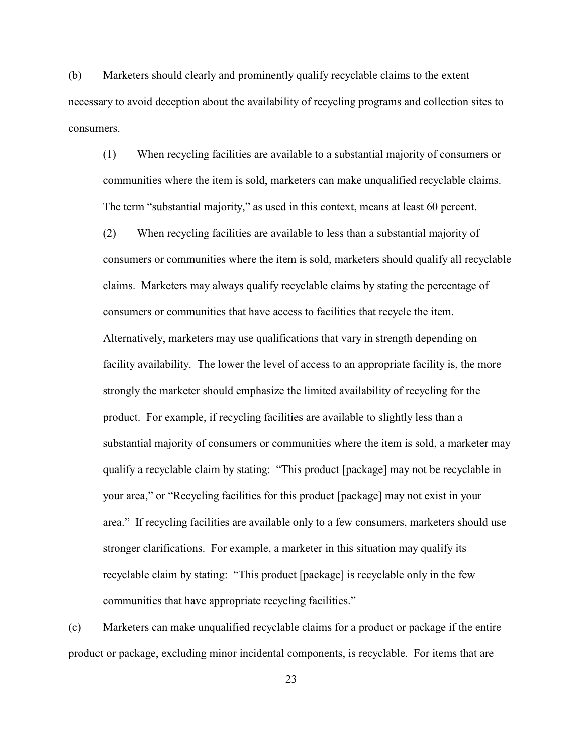(b) Marketers should clearly and prominently qualify recyclable claims to the extent necessary to avoid deception about the availability of recycling programs and collection sites to consumers.

(1) When recycling facilities are available to a substantial majority of consumers or communities where the item is sold, marketers can make unqualified recyclable claims. The term "substantial majority," as used in this context, means at least 60 percent.

(2) When recycling facilities are available to less than a substantial majority of consumers or communities where the item is sold, marketers should qualify all recyclable claims. Marketers may always qualify recyclable claims by stating the percentage of consumers or communities that have access to facilities that recycle the item. Alternatively, marketers may use qualifications that vary in strength depending on facility availability. The lower the level of access to an appropriate facility is, the more strongly the marketer should emphasize the limited availability of recycling for the product. For example, if recycling facilities are available to slightly less than a substantial majority of consumers or communities where the item is sold, a marketer may qualify a recyclable claim by stating: "This product [package] may not be recyclable in your area," or "Recycling facilities for this product [package] may not exist in your area." If recycling facilities are available only to a few consumers, marketers should use stronger clarifications. For example, a marketer in this situation may qualify its recyclable claim by stating: "This product [package] is recyclable only in the few communities that have appropriate recycling facilities."

(c) Marketers can make unqualified recyclable claims for a product or package if the entire product or package, excluding minor incidental components, is recyclable. For items that are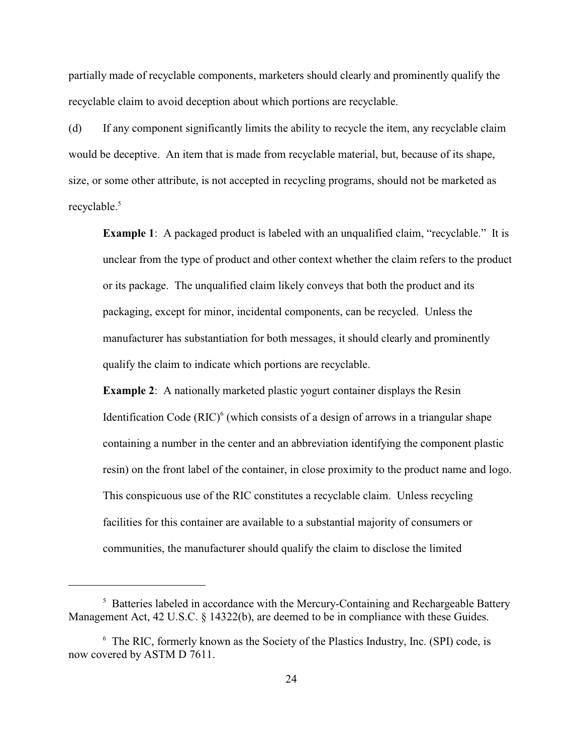partially made of recyclable components, marketers should clearly and prominently qualify the recyclable claim to avoid deception about which portions are recyclable.

(d) If any component significantly limits the ability to recycle the item, any recyclable claim would be deceptive. An item that is made from recyclable material, but, because of its shape, size, or some other attribute, is not accepted in recycling programs, should not be marketed as recyclable.<sup>5</sup>

**Example 1:** A packaged product is labeled with an unqualified claim, "recyclable." It is unclear from the type of product and other context whether the claim refers to the product or its package. The unqualified claim likely conveys that both the product and its packaging, except for minor, incidental components, can be recycled. Unless the manufacturer has substantiation for both messages, it should clearly and prominently qualify the claim to indicate which portions are recyclable.

**Example 2:** A nationally marketed plastic yogurt container displays the Resin Identification Code  $(RIC)^6$  (which consists of a design of arrows in a triangular shape containing a number in the center and an abbreviation identifying the component plastic resin) on the front label of the container, in close proximity to the product name and logo. This conspicuous use of the RIC constitutes a recyclable claim. Unless recycling facilities for this container are available to a substantial majority of consumers or communities, the manufacturer should qualify the claim to disclose the limited

 $5$  Batteries labeled in accordance with the Mercury-Containing and Rechargeable Battery Management Act, 42 U.S.C. § 14322(b), are deemed to be in compliance with these Guides.

 $6$  The RIC, formerly known as the Society of the Plastics Industry, Inc. (SPI) code, is now covered by ASTM D 7611.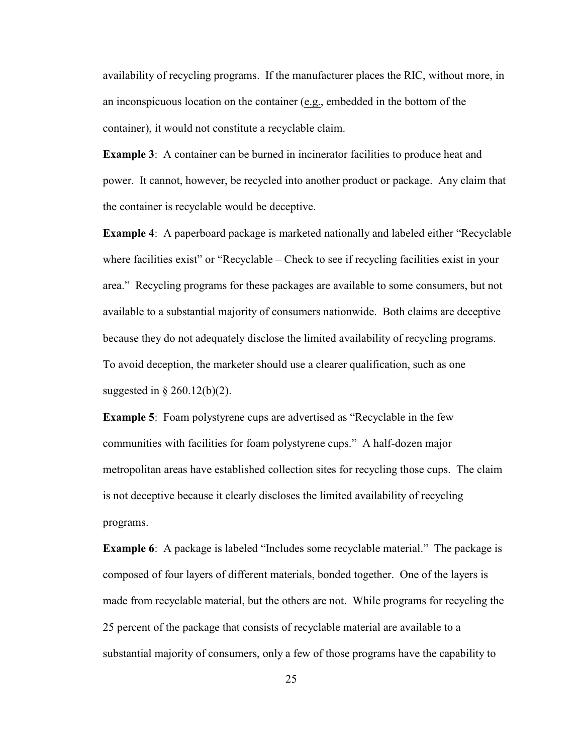availability of recycling programs. If the manufacturer places the RIC, without more, in an inconspicuous location on the container (e.g., embedded in the bottom of the container), it would not constitute a recyclable claim.

**Example 3:** A container can be burned in incinerator facilities to produce heat and power. It cannot, however, be recycled into another product or package. Any claim that the container is recyclable would be deceptive.

**Example 4**: A paperboard package is marketed nationally and labeled either "Recyclable where facilities exist" or "Recyclable – Check to see if recycling facilities exist in your area." Recycling programs for these packages are available to some consumers, but not available to a substantial majority of consumers nationwide. Both claims are deceptive because they do not adequately disclose the limited availability of recycling programs. To avoid deception, the marketer should use a clearer qualification, such as one suggested in § 260.12(b)(2).

**Example 5**: Foam polystyrene cups are advertised as "Recyclable in the few communities with facilities for foam polystyrene cups." A half-dozen major metropolitan areas have established collection sites for recycling those cups. The claim is not deceptive because it clearly discloses the limited availability of recycling programs.

**Example 6**: A package is labeled "Includes some recyclable material." The package is composed of four layers of different materials, bonded together. One of the layers is made from recyclable material, but the others are not. While programs for recycling the 25 percent of the package that consists of recyclable material are available to a substantial majority of consumers, only a few of those programs have the capability to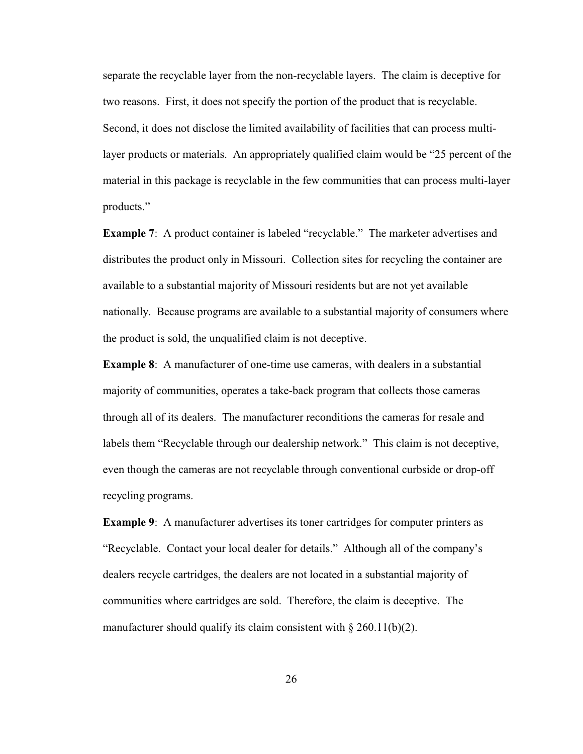separate the recyclable layer from the non-recyclable layers. The claim is deceptive for two reasons. First, it does not specify the portion of the product that is recyclable. Second, it does not disclose the limited availability of facilities that can process multilayer products or materials. An appropriately qualified claim would be "25 percent of the material in this package is recyclable in the few communities that can process multi-layer products."

**Example 7:** A product container is labeled "recyclable." The marketer advertises and distributes the product only in Missouri. Collection sites for recycling the container are available to a substantial majority of Missouri residents but are not yet available nationally. Because programs are available to a substantial majority of consumers where the product is sold, the unqualified claim is not deceptive.

**Example 8**: A manufacturer of one-time use cameras, with dealers in a substantial majority of communities, operates a take-back program that collects those cameras through all of its dealers. The manufacturer reconditions the cameras for resale and labels them "Recyclable through our dealership network." This claim is not deceptive, even though the cameras are not recyclable through conventional curbside or drop-off recycling programs.

**Example 9**: A manufacturer advertises its toner cartridges for computer printers as "Recyclable. Contact your local dealer for details." Although all of the company's dealers recycle cartridges, the dealers are not located in a substantial majority of communities where cartridges are sold. Therefore, the claim is deceptive. The manufacturer should qualify its claim consistent with  $\S 260.11(b)(2)$ .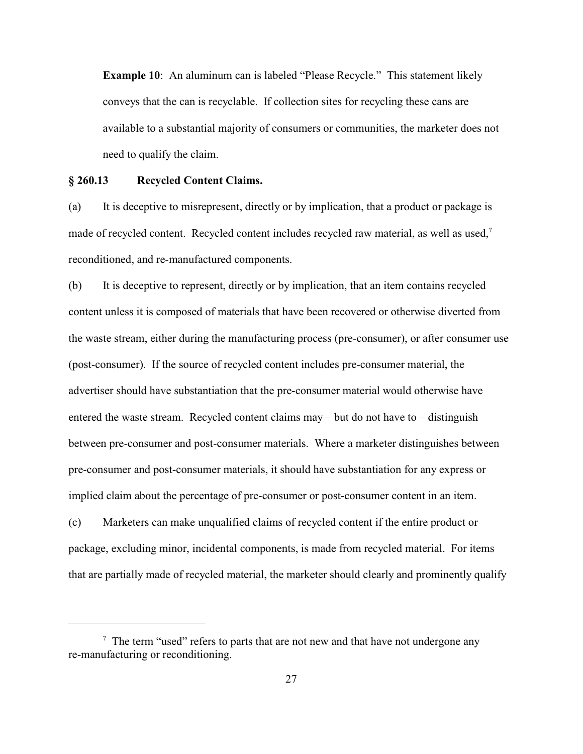**Example 10:** An aluminum can is labeled "Please Recycle." This statement likely conveys that the can is recyclable. If collection sites for recycling these cans are available to a substantial majority of consumers or communities, the marketer does not need to qualify the claim.

# **§ 260.13 Recycled Content Claims.**

(a) It is deceptive to misrepresent, directly or by implication, that a product or package is made of recycled content. Recycled content includes recycled raw material, as well as used,<sup>7</sup> reconditioned, and re-manufactured components.

(b) It is deceptive to represent, directly or by implication, that an item contains recycled content unless it is composed of materials that have been recovered or otherwise diverted from the waste stream, either during the manufacturing process (pre-consumer), or after consumer use (post-consumer). If the source of recycled content includes pre-consumer material, the advertiser should have substantiation that the pre-consumer material would otherwise have entered the waste stream. Recycled content claims may – but do not have to – distinguish between pre-consumer and post-consumer materials. Where a marketer distinguishes between pre-consumer and post-consumer materials, it should have substantiation for any express or implied claim about the percentage of pre-consumer or post-consumer content in an item.

(c) Marketers can make unqualified claims of recycled content if the entire product or package, excluding minor, incidental components, is made from recycled material. For items that are partially made of recycled material, the marketer should clearly and prominently qualify

 $\frac{7}{7}$  The term "used" refers to parts that are not new and that have not undergone any re-manufacturing or reconditioning.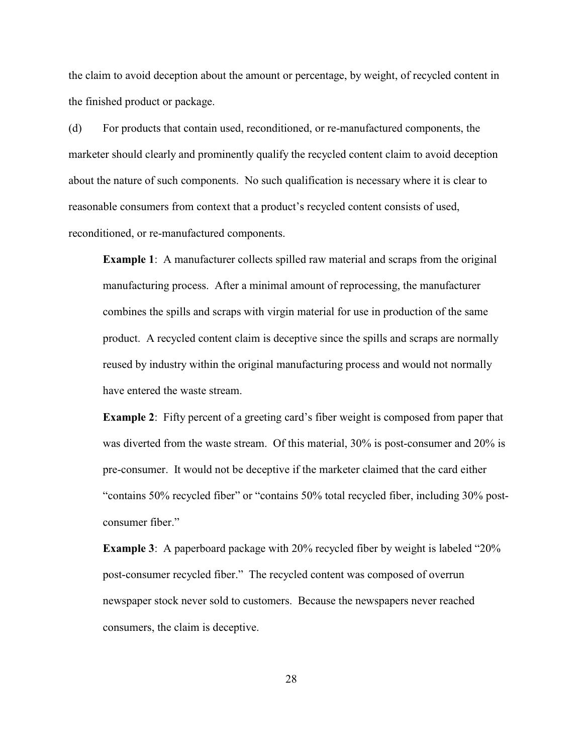the claim to avoid deception about the amount or percentage, by weight, of recycled content in the finished product or package.

(d) For products that contain used, reconditioned, or re-manufactured components, the marketer should clearly and prominently qualify the recycled content claim to avoid deception about the nature of such components. No such qualification is necessary where it is clear to reasonable consumers from context that a product's recycled content consists of used, reconditioned, or re-manufactured components.

**Example 1**: A manufacturer collects spilled raw material and scraps from the original manufacturing process. After a minimal amount of reprocessing, the manufacturer combines the spills and scraps with virgin material for use in production of the same product. A recycled content claim is deceptive since the spills and scraps are normally reused by industry within the original manufacturing process and would not normally have entered the waste stream.

**Example 2**: Fifty percent of a greeting card's fiber weight is composed from paper that was diverted from the waste stream. Of this material, 30% is post-consumer and 20% is pre-consumer. It would not be deceptive if the marketer claimed that the card either "contains 50% recycled fiber" or "contains 50% total recycled fiber, including 30% postconsumer fiber."

**Example 3**: A paperboard package with 20% recycled fiber by weight is labeled "20% post-consumer recycled fiber." The recycled content was composed of overrun newspaper stock never sold to customers. Because the newspapers never reached consumers, the claim is deceptive.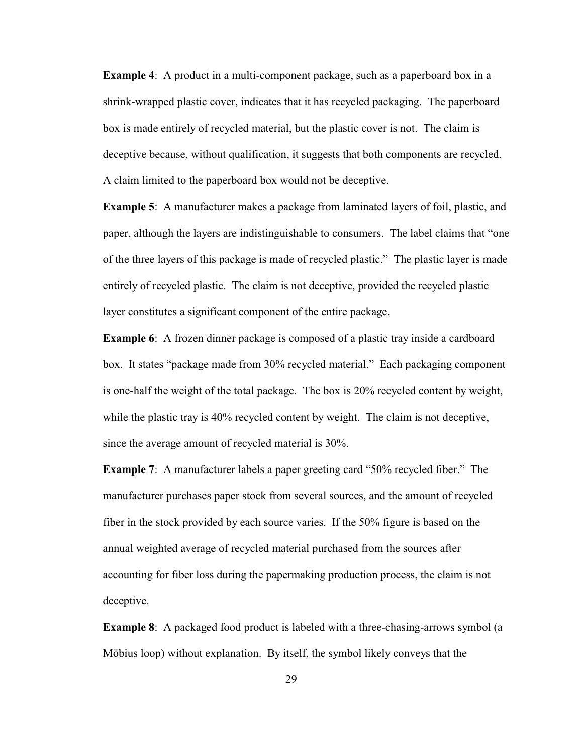**Example 4:** A product in a multi-component package, such as a paperboard box in a shrink-wrapped plastic cover, indicates that it has recycled packaging. The paperboard box is made entirely of recycled material, but the plastic cover is not. The claim is deceptive because, without qualification, it suggests that both components are recycled. A claim limited to the paperboard box would not be deceptive.

**Example 5**: A manufacturer makes a package from laminated layers of foil, plastic, and paper, although the layers are indistinguishable to consumers. The label claims that "one of the three layers of this package is made of recycled plastic." The plastic layer is made entirely of recycled plastic. The claim is not deceptive, provided the recycled plastic layer constitutes a significant component of the entire package.

**Example 6**: A frozen dinner package is composed of a plastic tray inside a cardboard box. It states "package made from 30% recycled material." Each packaging component is one-half the weight of the total package. The box is 20% recycled content by weight, while the plastic tray is 40% recycled content by weight. The claim is not deceptive, since the average amount of recycled material is 30%.

**Example 7**: A manufacturer labels a paper greeting card "50% recycled fiber." The manufacturer purchases paper stock from several sources, and the amount of recycled fiber in the stock provided by each source varies. If the 50% figure is based on the annual weighted average of recycled material purchased from the sources after accounting for fiber loss during the papermaking production process, the claim is not deceptive.

**Example 8**: A packaged food product is labeled with a three-chasing-arrows symbol (a Möbius loop) without explanation. By itself, the symbol likely conveys that the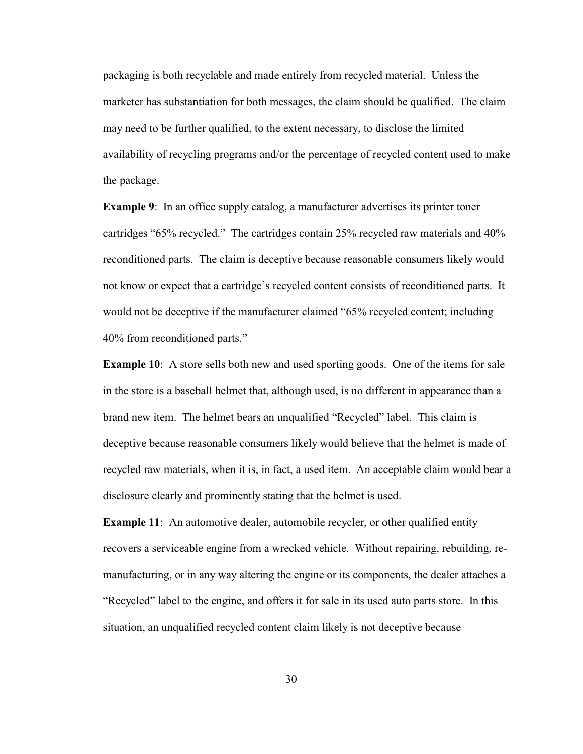packaging is both recyclable and made entirely from recycled material. Unless the marketer has substantiation for both messages, the claim should be qualified. The claim may need to be further qualified, to the extent necessary, to disclose the limited availability of recycling programs and/or the percentage of recycled content used to make the package.

**Example 9:** In an office supply catalog, a manufacturer advertises its printer toner cartridges "65% recycled." The cartridges contain 25% recycled raw materials and 40% reconditioned parts. The claim is deceptive because reasonable consumers likely would not know or expect that a cartridge's recycled content consists of reconditioned parts. It would not be deceptive if the manufacturer claimed "65% recycled content; including 40% from reconditioned parts."

**Example 10**: A store sells both new and used sporting goods. One of the items for sale in the store is a baseball helmet that, although used, is no different in appearance than a brand new item. The helmet bears an unqualified "Recycled" label. This claim is deceptive because reasonable consumers likely would believe that the helmet is made of recycled raw materials, when it is, in fact, a used item. An acceptable claim would bear a disclosure clearly and prominently stating that the helmet is used.

**Example 11:** An automotive dealer, automobile recycler, or other qualified entity recovers a serviceable engine from a wrecked vehicle. Without repairing, rebuilding, remanufacturing, or in any way altering the engine or its components, the dealer attaches a "Recycled" label to the engine, and offers it for sale in its used auto parts store. In this situation, an unqualified recycled content claim likely is not deceptive because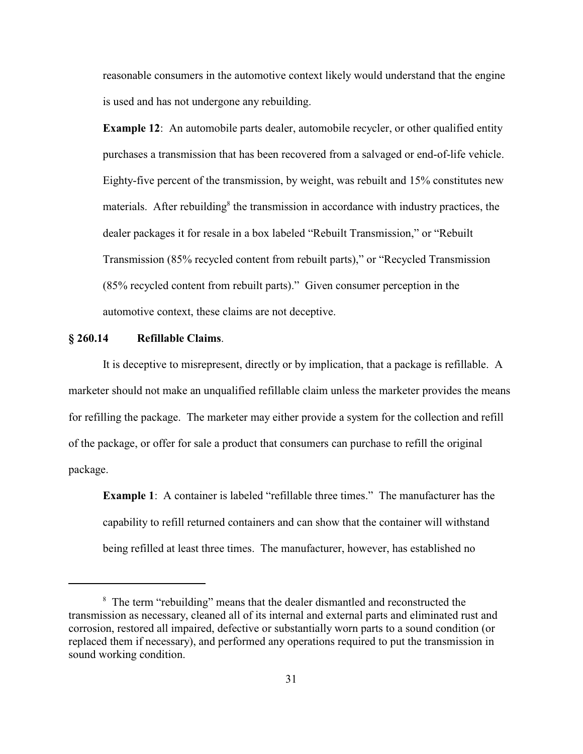reasonable consumers in the automotive context likely would understand that the engine is used and has not undergone any rebuilding.

**Example 12:** An automobile parts dealer, automobile recycler, or other qualified entity purchases a transmission that has been recovered from a salvaged or end-of-life vehicle. Eighty-five percent of the transmission, by weight, was rebuilt and 15% constitutes new materials. After rebuilding<sup>8</sup> the transmission in accordance with industry practices, the dealer packages it for resale in a box labeled "Rebuilt Transmission," or "Rebuilt Transmission (85% recycled content from rebuilt parts)," or "Recycled Transmission (85% recycled content from rebuilt parts)." Given consumer perception in the automotive context, these claims are not deceptive.

### **§ 260.14 Refillable Claims**.

It is deceptive to misrepresent, directly or by implication, that a package is refillable. A marketer should not make an unqualified refillable claim unless the marketer provides the means for refilling the package. The marketer may either provide a system for the collection and refill of the package, or offer for sale a product that consumers can purchase to refill the original package.

**Example 1**: A container is labeled "refillable three times." The manufacturer has the capability to refill returned containers and can show that the container will withstand being refilled at least three times. The manufacturer, however, has established no

<sup>&</sup>lt;sup>8</sup> The term "rebuilding" means that the dealer dismantled and reconstructed the transmission as necessary, cleaned all of its internal and external parts and eliminated rust and corrosion, restored all impaired, defective or substantially worn parts to a sound condition (or replaced them if necessary), and performed any operations required to put the transmission in sound working condition.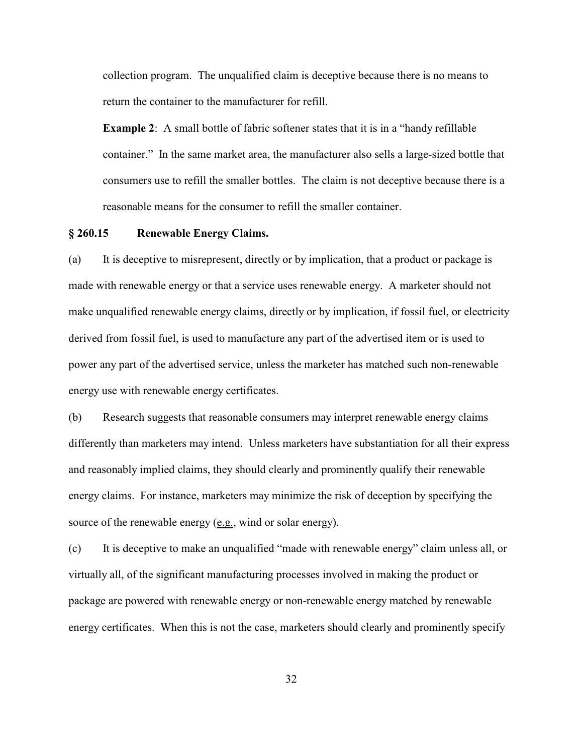collection program. The unqualified claim is deceptive because there is no means to return the container to the manufacturer for refill.

**Example 2**: A small bottle of fabric softener states that it is in a "handy refillable container." In the same market area, the manufacturer also sells a large-sized bottle that consumers use to refill the smaller bottles. The claim is not deceptive because there is a reasonable means for the consumer to refill the smaller container.

## **§ 260.15 Renewable Energy Claims.**

(a) It is deceptive to misrepresent, directly or by implication, that a product or package is made with renewable energy or that a service uses renewable energy. A marketer should not make unqualified renewable energy claims, directly or by implication, if fossil fuel, or electricity derived from fossil fuel, is used to manufacture any part of the advertised item or is used to power any part of the advertised service, unless the marketer has matched such non-renewable energy use with renewable energy certificates.

(b) Research suggests that reasonable consumers may interpret renewable energy claims differently than marketers may intend. Unless marketers have substantiation for all their express and reasonably implied claims, they should clearly and prominently qualify their renewable energy claims. For instance, marketers may minimize the risk of deception by specifying the source of the renewable energy (e.g., wind or solar energy).

(c) It is deceptive to make an unqualified "made with renewable energy" claim unless all, or virtually all, of the significant manufacturing processes involved in making the product or package are powered with renewable energy or non-renewable energy matched by renewable energy certificates. When this is not the case, marketers should clearly and prominently specify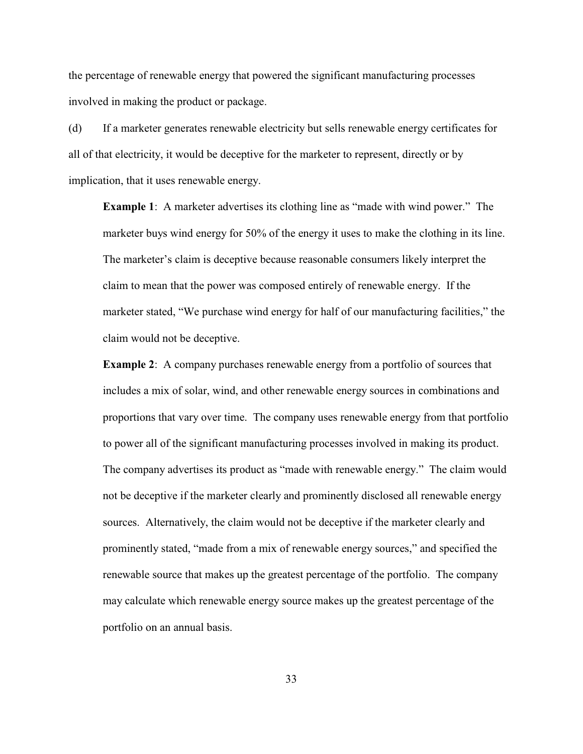the percentage of renewable energy that powered the significant manufacturing processes involved in making the product or package.

(d) If a marketer generates renewable electricity but sells renewable energy certificates for all of that electricity, it would be deceptive for the marketer to represent, directly or by implication, that it uses renewable energy.

**Example 1**: A marketer advertises its clothing line as "made with wind power." The marketer buys wind energy for 50% of the energy it uses to make the clothing in its line. The marketer's claim is deceptive because reasonable consumers likely interpret the claim to mean that the power was composed entirely of renewable energy. If the marketer stated, "We purchase wind energy for half of our manufacturing facilities," the claim would not be deceptive.

**Example 2:** A company purchases renewable energy from a portfolio of sources that includes a mix of solar, wind, and other renewable energy sources in combinations and proportions that vary over time. The company uses renewable energy from that portfolio to power all of the significant manufacturing processes involved in making its product. The company advertises its product as "made with renewable energy." The claim would not be deceptive if the marketer clearly and prominently disclosed all renewable energy sources. Alternatively, the claim would not be deceptive if the marketer clearly and prominently stated, "made from a mix of renewable energy sources," and specified the renewable source that makes up the greatest percentage of the portfolio. The company may calculate which renewable energy source makes up the greatest percentage of the portfolio on an annual basis.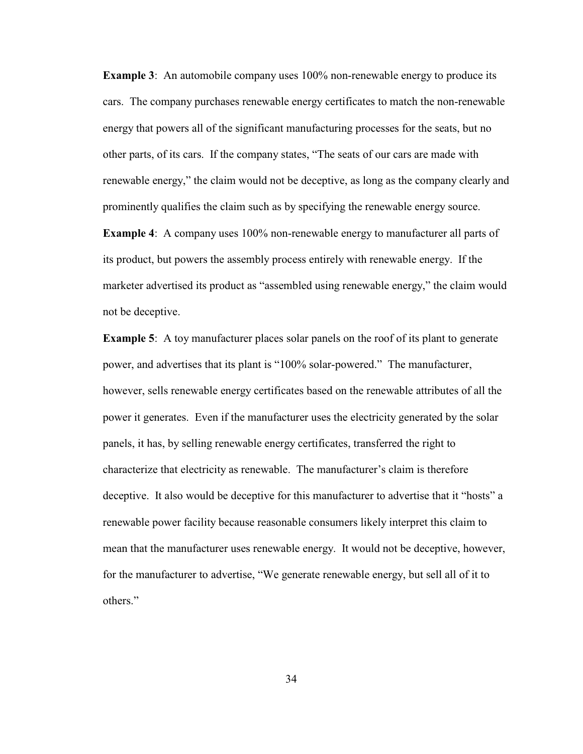**Example 3**: An automobile company uses 100% non-renewable energy to produce its cars. The company purchases renewable energy certificates to match the non-renewable energy that powers all of the significant manufacturing processes for the seats, but no other parts, of its cars. If the company states, "The seats of our cars are made with renewable energy," the claim would not be deceptive, as long as the company clearly and prominently qualifies the claim such as by specifying the renewable energy source.

**Example 4**: A company uses 100% non-renewable energy to manufacturer all parts of its product, but powers the assembly process entirely with renewable energy. If the marketer advertised its product as "assembled using renewable energy," the claim would not be deceptive.

**Example 5**: A toy manufacturer places solar panels on the roof of its plant to generate power, and advertises that its plant is "100% solar-powered." The manufacturer, however, sells renewable energy certificates based on the renewable attributes of all the power it generates. Even if the manufacturer uses the electricity generated by the solar panels, it has, by selling renewable energy certificates, transferred the right to characterize that electricity as renewable. The manufacturer's claim is therefore deceptive. It also would be deceptive for this manufacturer to advertise that it "hosts" a renewable power facility because reasonable consumers likely interpret this claim to mean that the manufacturer uses renewable energy. It would not be deceptive, however, for the manufacturer to advertise, "We generate renewable energy, but sell all of it to others."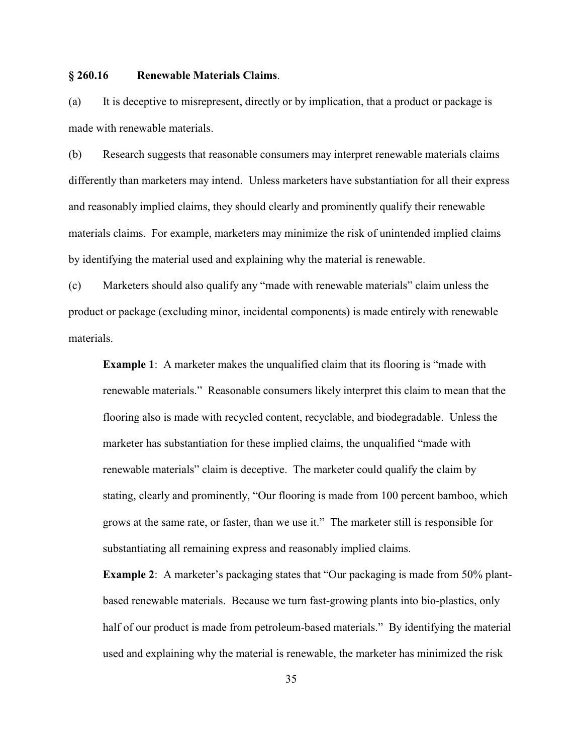### **§ 260.16 Renewable Materials Claims**.

(a) It is deceptive to misrepresent, directly or by implication, that a product or package is made with renewable materials.

(b) Research suggests that reasonable consumers may interpret renewable materials claims differently than marketers may intend. Unless marketers have substantiation for all their express and reasonably implied claims, they should clearly and prominently qualify their renewable materials claims. For example, marketers may minimize the risk of unintended implied claims by identifying the material used and explaining why the material is renewable.

(c) Marketers should also qualify any "made with renewable materials" claim unless the product or package (excluding minor, incidental components) is made entirely with renewable materials.

**Example 1**: A marketer makes the unqualified claim that its flooring is "made with renewable materials." Reasonable consumers likely interpret this claim to mean that the flooring also is made with recycled content, recyclable, and biodegradable. Unless the marketer has substantiation for these implied claims, the unqualified "made with renewable materials" claim is deceptive. The marketer could qualify the claim by stating, clearly and prominently, "Our flooring is made from 100 percent bamboo, which grows at the same rate, or faster, than we use it." The marketer still is responsible for substantiating all remaining express and reasonably implied claims.

**Example 2**: A marketer's packaging states that "Our packaging is made from 50% plantbased renewable materials. Because we turn fast-growing plants into bio-plastics, only half of our product is made from petroleum-based materials." By identifying the material used and explaining why the material is renewable, the marketer has minimized the risk